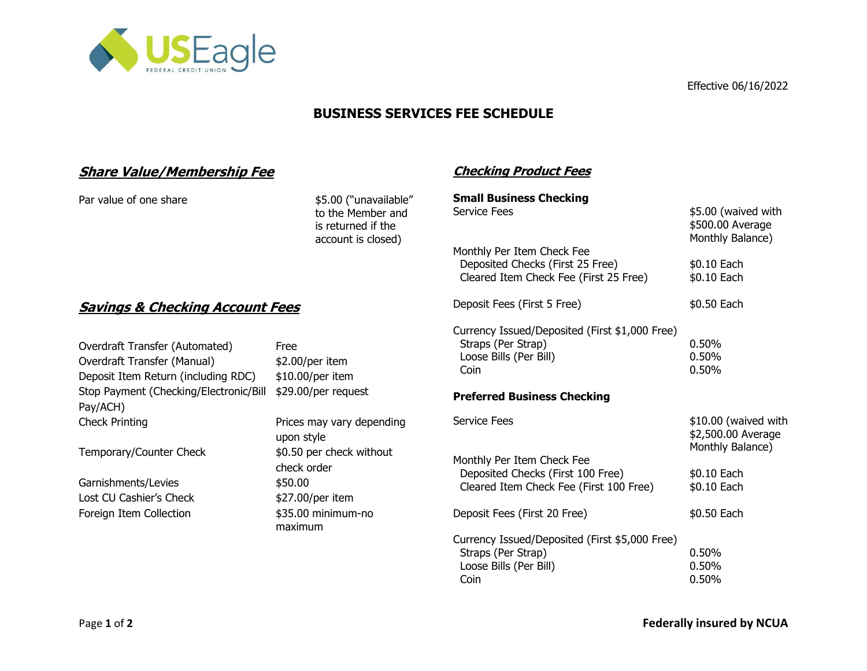

Effective 06/16/2022

\$500.00 Average Monthly Balance)

# **BUSINESS SERVICES FEE SCHEDULE**

**Checking Product Fees**

**Small Business Checking**

Monthly Per Item Check Fee

Service Fees \$5.00 (waived with

Deposited Checks (First 25 Free) \$0.10 Each Cleared Item Check Fee (First 25 Free) \$0.10 Each

Deposit Fees (First 5 Free) \$0.50 Each

Coin 0.50%

## **Share Value/Membership Fee**

Par value of one share \$5.00 ("unavailable"

to the Member and is returned if the account is closed)

# **Savings & Checking Account Fees**

| Overdraft Transfer (Automated)<br>Overdraft Transfer (Manual)<br>Deposit Item Return (including RDC) | Free<br>$$2.00/per$ item<br>$$10.00/per$ item                          | Currency Issued/Deposited (First \$1,000 Free)<br>Straps (Per Strap)<br>Loose Bills (Per Bill)<br>Coin | 0.50%<br>$0.50\%$<br>$0.50\%$              |
|------------------------------------------------------------------------------------------------------|------------------------------------------------------------------------|--------------------------------------------------------------------------------------------------------|--------------------------------------------|
| Stop Payment (Checking/Electronic/Bill<br>Pay/ACH)                                                   | \$29.00/per request                                                    | <b>Preferred Business Checking</b>                                                                     |                                            |
| <b>Check Printing</b>                                                                                | Prices may vary depending<br>upon style                                | Service Fees                                                                                           | \$10.00 (waived with<br>\$2,500.00 Average |
| Temporary/Counter Check                                                                              | \$0.50 per check without<br>check order<br>\$50.00<br>\$27.00/per item | Monthly Per Item Check Fee                                                                             | Monthly Balance)                           |
| Garnishments/Levies<br>Lost CU Cashier's Check                                                       |                                                                        | Deposited Checks (First 100 Free)<br>Cleared Item Check Fee (First 100 Free)                           | \$0.10 Each<br>\$0.10 Each                 |
| Foreign Item Collection                                                                              | \$35.00 minimum-no<br>maximum                                          | Deposit Fees (First 20 Free)                                                                           | \$0.50 Each                                |
|                                                                                                      |                                                                        | Currency Issued/Deposited (First \$5,000 Free)                                                         |                                            |
|                                                                                                      |                                                                        | Straps (Per Strap)                                                                                     | 0.50%                                      |
|                                                                                                      |                                                                        | Loose Bills (Per Bill)                                                                                 | 0.50%                                      |